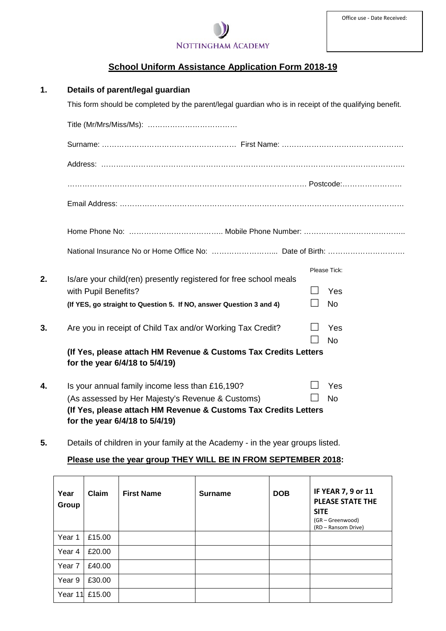

# **School Uniform Assistance Application Form 2018-19**

| 1. | Details of parent/legal guardian                                                                        |  |                  |  |  |  |
|----|---------------------------------------------------------------------------------------------------------|--|------------------|--|--|--|
|    | This form should be completed by the parent/legal guardian who is in receipt of the qualifying benefit. |  |                  |  |  |  |
|    |                                                                                                         |  |                  |  |  |  |
|    |                                                                                                         |  |                  |  |  |  |
|    |                                                                                                         |  |                  |  |  |  |
|    |                                                                                                         |  |                  |  |  |  |
|    |                                                                                                         |  |                  |  |  |  |
|    |                                                                                                         |  |                  |  |  |  |
|    |                                                                                                         |  |                  |  |  |  |
|    |                                                                                                         |  | Please Tick:     |  |  |  |
| 2. | Is/are your child(ren) presently registered for free school meals<br>with Pupil Benefits?               |  | Yes              |  |  |  |
|    | (If YES, go straight to Question 5. If NO, answer Question 3 and 4)                                     |  | <b>No</b>        |  |  |  |
| 3. | Are you in receipt of Child Tax and/or Working Tax Credit?                                              |  | Yes<br><b>No</b> |  |  |  |
|    | (If Yes, please attach HM Revenue & Customs Tax Credits Letters<br>for the year 6/4/18 to 5/4/19)       |  |                  |  |  |  |
| 4. | Is your annual family income less than £16,190?                                                         |  | Yes              |  |  |  |
|    | (As assessed by Her Majesty's Revenue & Customs)                                                        |  | <b>No</b>        |  |  |  |
|    | (If Yes, please attach HM Revenue & Customs Tax Credits Letters<br>for the year 6/4/18 to 5/4/19)       |  |                  |  |  |  |

**5.** Details of children in your family at the Academy - in the year groups listed.

## **Please use the year group THEY WILL BE IN FROM SEPTEMBER 2018:**

| Year<br>Group | Claim          | <b>First Name</b> | <b>Surname</b> | <b>DOB</b> | IF YEAR 7, 9 or 11<br><b>PLEASE STATE THE</b><br><b>SITE</b><br>(GR - Greenwood)<br>(RD - Ransom Drive) |
|---------------|----------------|-------------------|----------------|------------|---------------------------------------------------------------------------------------------------------|
| Year 1        | £15.00         |                   |                |            |                                                                                                         |
| Year 4        | £20.00         |                   |                |            |                                                                                                         |
| Year 7        | £40.00         |                   |                |            |                                                                                                         |
| Year 9        | £30.00         |                   |                |            |                                                                                                         |
|               | Year 11 £15.00 |                   |                |            |                                                                                                         |